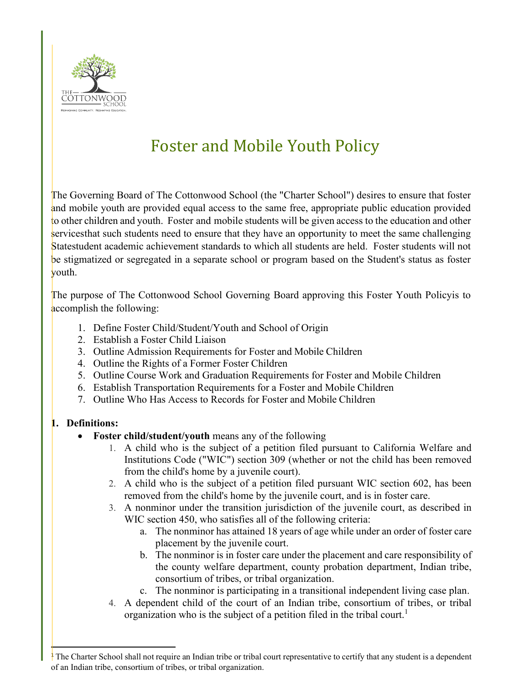

## Foster and Mobile Youth Policy

The Governing Board of The Cottonwood School (the "Charter School") desires to ensure that foster and mobile youth are provided equal access to the same free, appropriate public education provided to other children and youth. Foster and mobile students will be given access to the education and other services that such students need to ensure that they have an opportunity to meet the same challenging Statestudent academic achievement standards to which all students are held. Foster students will not be stigmatized or segregated in a separate school or program based on the Student's status as foster youth.

The purpose of The Cottonwood School Governing Board approving this Foster Youth Policyis to accomplish the following:

- 1. Define Foster Child/Student/Youth and School of Origin
- 2. Establish a Foster Child Liaison
- 3. Outline Admission Requirements for Foster and Mobile Children
- 4. Outline the Rights of a Former Foster Children
- 5. Outline Course Work and Graduation Requirements for Foster and Mobile Children
- 6. Establish Transportation Requirements for a Foster and Mobile Children
- 7. Outline Who Has Access to Records for Foster and Mobile Children

## **1. Definitions:**

- **Foster child/student/youth** means any of the following
	- 1. A child who is the subject of a petition filed pursuant to California Welfare and Institutions Code ("WIC") section 309 (whether or not the child has been removed from the child's home by a juvenile court).
	- 2. A child who is the subject of a petition filed pursuant WIC section 602, has been removed from the child's home by the juvenile court, and is in foster care.
	- 3. A nonminor under the transition jurisdiction of the juvenile court, as described in WIC section 450, who satisfies all of the following criteria:
		- a. The nonminor has attained 18 years of age while under an order of foster care placement by the juvenile court.
		- b. The nonminor is in foster care under the placement and care responsibility of the county welfare department, county probation department, Indian tribe, consortium of tribes, or tribal organization.
		- c. The nonminor is participating in a transitional independent living case plan.
	- 4. A dependent child of the court of an Indian tribe, consortium of tribes, or tribal organization who is the subject of a petition filed in the tribal court.<sup>1</sup>

 $\frac{1}{1}$  The Charter School shall not require an Indian tribe or tribal court representative to certify that any student is a dependent of an Indian tribe, consortium of tribes, or tribal organization.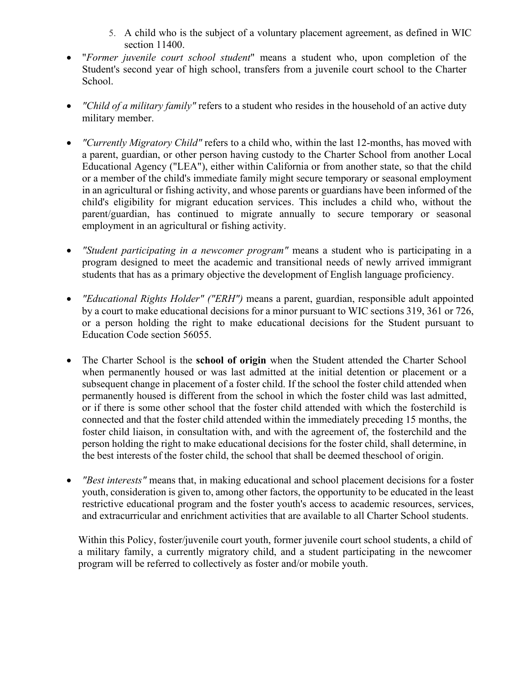- 5. A child who is the subject of a voluntary placement agreement, as defined in WIC section 11400.
- "*Former juvenile court school student*" means a student who, upon completion of the Student's second year of high school, transfers from a juvenile court school to the Charter School.
- *"Child of a military family"* refers to a student who resides in the household of an active duty military member.
- *"Currently Migratory Child"* refers to a child who, within the last 12-months, has moved with a parent, guardian, or other person having custody to the Charter School from another Local Educational Agency ("LEA"), either within California or from another state, so that the child or a member of the child's immediate family might secure temporary or seasonal employment in an agricultural or fishing activity, and whose parents or guardians have been informed of the child's eligibility for migrant education services. This includes a child who, without the parent/guardian, has continued to migrate annually to secure temporary or seasonal employment in an agricultural or fishing activity.
- *"Student participating in a newcomer program"* means a student who is participating in a program designed to meet the academic and transitional needs of newly arrived immigrant students that has as a primary objective the development of English language proficiency.
- *"Educational Rights Holder" ("ERH")* means a parent, guardian, responsible adult appointed by a court to make educational decisions for a minor pursuant to WIC sections 319, 361 or 726, or a person holding the right to make educational decisions for the Student pursuant to Education Code section 56055.
- The Charter School is the **school of origin** when the Student attended the Charter School when permanently housed or was last admitted at the initial detention or placement or a subsequent change in placement of a foster child. If the school the foster child attended when permanently housed is different from the school in which the foster child was last admitted, or if there is some other school that the foster child attended with which the fosterchild is connected and that the foster child attended within the immediately preceding 15 months, the foster child liaison, in consultation with, and with the agreement of, the fosterchild and the person holding the right to make educational decisions for the foster child, shall determine, in the best interests of the foster child, the school that shall be deemed theschool of origin.
- *"Best interests"* means that, in making educational and school placement decisions for a foster youth, consideration is given to, among other factors, the opportunity to be educated in the least restrictive educational program and the foster youth's access to academic resources, services, and extracurricular and enrichment activities that are available to all Charter School students.

Within this Policy, foster/juvenile court youth, former juvenile court school students, a child of a military family, a currently migratory child, and a student participating in the newcomer program will be referred to collectively as foster and/or mobile youth.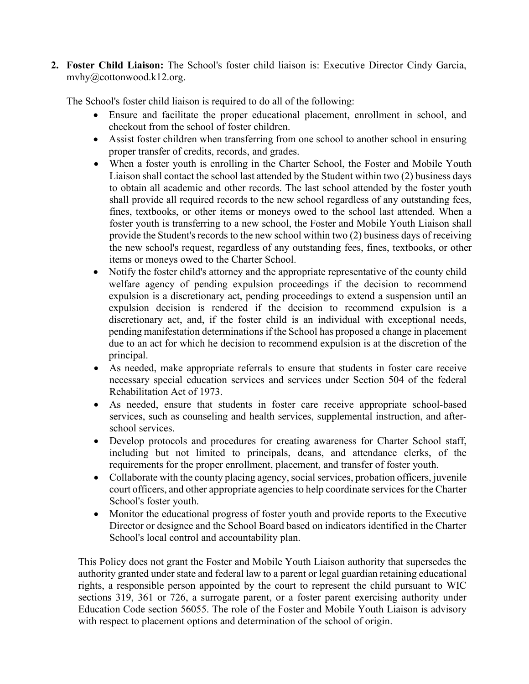**2. Foster Child Liaison:** The School's foster child liaison is: Executive Director Cindy Garcia, [mvhy@cottonwood.k12.org.](mailto:JulieH@Inspireschools.org)

The School's foster child liaison is required to do all of the following:

- Ensure and facilitate the proper educational placement, enrollment in school, and checkout from the school of foster children.
- Assist foster children when transferring from one school to another school in ensuring proper transfer of credits, records, and grades.
- When a foster youth is enrolling in the Charter School, the Foster and Mobile Youth Liaison shall contact the school last attended by the Student within two (2) business days to obtain all academic and other records. The last school attended by the foster youth shall provide all required records to the new school regardless of any outstanding fees, fines, textbooks, or other items or moneys owed to the school last attended. When a foster youth is transferring to a new school, the Foster and Mobile Youth Liaison shall provide the Student's records to the new school within two (2) business days of receiving the new school's request, regardless of any outstanding fees, fines, textbooks, or other items or moneys owed to the Charter School.
- Notify the foster child's attorney and the appropriate representative of the county child welfare agency of pending expulsion proceedings if the decision to recommend expulsion is a discretionary act, pending proceedings to extend a suspension until an expulsion decision is rendered if the decision to recommend expulsion is a discretionary act, and, if the foster child is an individual with exceptional needs, pending manifestation determinations if the School has proposed a change in placement due to an act for which he decision to recommend expulsion is at the discretion of the principal.
- As needed, make appropriate referrals to ensure that students in foster care receive necessary special education services and services under Section 504 of the federal Rehabilitation Act of 1973.
- As needed, ensure that students in foster care receive appropriate school-based services, such as counseling and health services, supplemental instruction, and afterschool services.
- Develop protocols and procedures for creating awareness for Charter School staff, including but not limited to principals, deans, and attendance clerks, of the requirements for the proper enrollment, placement, and transfer of foster youth.
- Collaborate with the county placing agency, social services, probation officers, juvenile court officers, and other appropriate agencies to help coordinate services for the Charter School's foster youth.
- Monitor the educational progress of foster youth and provide reports to the Executive Director or designee and the School Board based on indicators identified in the Charter School's local control and accountability plan.

This Policy does not grant the Foster and Mobile Youth Liaison authority that supersedes the authority granted under state and federal law to a parent or legal guardian retaining educational rights, a responsible person appointed by the court to represent the child pursuant to WIC sections 319, 361 or 726, a surrogate parent, or a foster parent exercising authority under Education Code section 56055. The role of the Foster and Mobile Youth Liaison is advisory with respect to placement options and determination of the school of origin.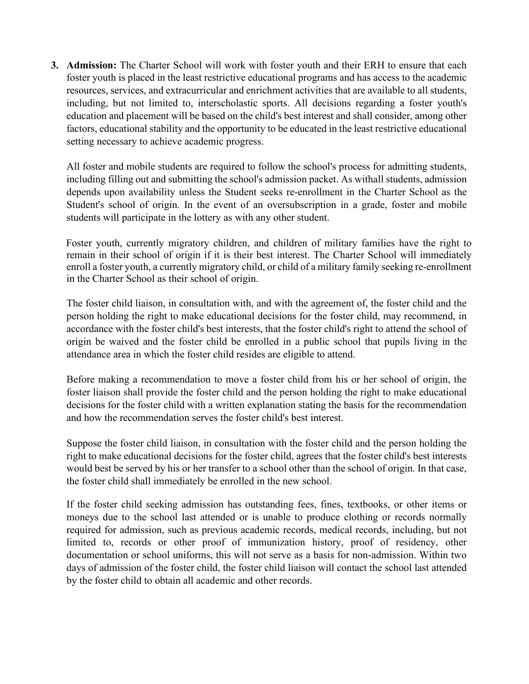**3. Admission:** The Charter School will work with foster youth and their ERH to ensure that each foster youth is placed in the least restrictive educational programs and has access to the academic resources, services, and extracurricular and enrichment activities that are available to all students, including, but not limited to, interscholastic sports. All decisions regarding a foster youth's education and placement will be based on the child's best interest and shall consider, among other factors, educational stability and the opportunity to be educated in the least restrictive educational setting necessary to achieve academic progress.

All foster and mobile students are required to follow the school's process for admitting students, including filling out and submitting the school's admission packet. As withall students, admission depends upon availability unless the Student seeks re-enrollment in the Charter School as the Student's school of origin. In the event of an oversubscription in a grade, foster and mobile students will participate in the lottery as with any other student.

Foster youth, currently migratory children, and children of military families have the right to remain in their school of origin if it is their best interest. The Charter School will immediately enroll a foster youth, a currently migratory child, or child of a military family seeking re-enrollment in the Charter School as their school of origin.

The foster child liaison, in consultation with, and with the agreement of, the foster child and the person holding the right to make educational decisions for the foster child, may recommend, in accordance with the foster child's best interests, that the foster child's right to attend the school of origin be waived and the foster child be enrolled in a public school that pupils living in the attendance area in which the foster child resides are eligible to attend.

Before making a recommendation to move a foster child from his or her school of origin, the foster liaison shall provide the foster child and the person holding the right to make educational decisions for the foster child with a written explanation stating the basis for the recommendation and how the recommendation serves the foster child's best interest.

Suppose the foster child liaison, in consultation with the foster child and the person holding the right to make educational decisions for the foster child, agrees that the foster child's best interests would best be served by his or her transfer to a school other than the school of origin. In that case, the foster child shall immediately be enrolled in the new school.

If the foster child seeking admission has outstanding fees, fines, textbooks, or other items or moneys due to the school last attended or is unable to produce clothing or records normally required for admission, such as previous academic records, medical records, including, but not limited to, records or other proof of immunization history, proof of residency, other documentation or school uniforms, this will not serve as a basis for non-admission. Within two days of admission of the foster child, the foster child liaison will contact the school last attended by the foster child to obtain all academic and other records.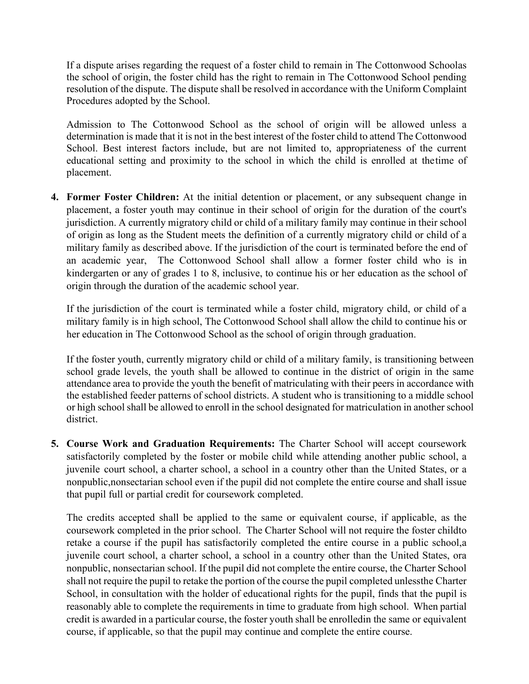If a dispute arises regarding the request of a foster child to remain in The Cottonwood Schoolas the school of origin, the foster child has the right to remain in The Cottonwood School pending resolution of the dispute. The dispute shall be resolved in accordance with the Uniform Complaint Procedures adopted by the School.

Admission to The Cottonwood School as the school of origin will be allowed unless a determination is made that it is not in the best interest of the foster child to attend The Cottonwood School. Best interest factors include, but are not limited to, appropriateness of the current educational setting and proximity to the school in which the child is enrolled at thetime of placement.

**4. Former Foster Children:** At the initial detention or placement, or any subsequent change in placement, a foster youth may continue in their school of origin for the duration of the court's jurisdiction. A currently migratory child or child of a military family may continue in their school of origin as long as the Student meets the definition of a currently migratory child or child of a military family as described above. If the jurisdiction of the court is terminated before the end of an academic year, The Cottonwood School shall allow a former foster child who is in kindergarten or any of grades 1 to 8, inclusive, to continue his or her education as the school of origin through the duration of the academic school year.

If the jurisdiction of the court is terminated while a foster child, migratory child, or child of a military family is in high school, The Cottonwood School shall allow the child to continue his or her education in The Cottonwood School as the school of origin through graduation.

If the foster youth, currently migratory child or child of a military family, is transitioning between school grade levels, the youth shall be allowed to continue in the district of origin in the same attendance area to provide the youth the benefit of matriculating with their peers in accordance with the established feeder patterns of school districts. A student who is transitioning to a middle school or high school shall be allowed to enroll in the school designated for matriculation in another school district.

**5. Course Work and Graduation Requirements:** The Charter School will accept coursework satisfactorily completed by the foster or mobile child while attending another public school, a juvenile court school, a charter school, a school in a country other than the United States, or a nonpublic,nonsectarian school even if the pupil did not complete the entire course and shall issue that pupil full or partial credit for coursework completed.

The credits accepted shall be applied to the same or equivalent course, if applicable, as the coursework completed in the prior school. The Charter School will not require the foster childto retake a course if the pupil has satisfactorily completed the entire course in a public school,a juvenile court school, a charter school, a school in a country other than the United States, ora nonpublic, nonsectarian school. If the pupil did not complete the entire course, the Charter School shall not require the pupil to retake the portion of the course the pupil completed unlessthe Charter School, in consultation with the holder of educational rights for the pupil, finds that the pupil is reasonably able to complete the requirements in time to graduate from high school. When partial credit is awarded in a particular course, the foster youth shall be enrolledin the same or equivalent course, if applicable, so that the pupil may continue and complete the entire course.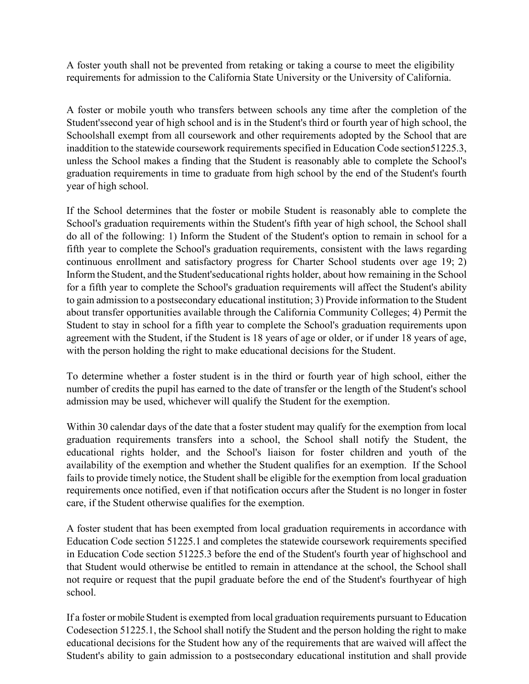A foster youth shall not be prevented from retaking or taking a course to meet the eligibility requirements for admission to the California State University or the University of California.

A foster or mobile youth who transfers between schools any time after the completion of the Student'ssecond year of high school and is in the Student's third or fourth year of high school, the Schoolshall exempt from all coursework and other requirements adopted by the School that are inaddition to the statewide coursework requirements specified in Education Code section51225.3, unless the School makes a finding that the Student is reasonably able to complete the School's graduation requirements in time to graduate from high school by the end of the Student's fourth year of high school.

If the School determines that the foster or mobile Student is reasonably able to complete the School's graduation requirements within the Student's fifth year of high school, the School shall do all of the following: 1) Inform the Student of the Student's option to remain in school for a fifth year to complete the School's graduation requirements, consistent with the laws regarding continuous enrollment and satisfactory progress for Charter School students over age 19; 2) Inform the Student, and the Student'seducational rights holder, about how remaining in the School for a fifth year to complete the School's graduation requirements will affect the Student's ability to gain admission to a postsecondary educational institution; 3) Provide information to the Student about transfer opportunities available through the California Community Colleges; 4) Permit the Student to stay in school for a fifth year to complete the School's graduation requirements upon agreement with the Student, if the Student is 18 years of age or older, or if under 18 years of age, with the person holding the right to make educational decisions for the Student.

To determine whether a foster student is in the third or fourth year of high school, either the number of credits the pupil has earned to the date of transfer or the length of the Student's school admission may be used, whichever will qualify the Student for the exemption.

Within 30 calendar days of the date that a foster student may qualify for the exemption from local graduation requirements transfers into a school, the School shall notify the Student, the educational rights holder, and the School's liaison for foster children and youth of the availability of the exemption and whether the Student qualifies for an exemption. If the School fails to provide timely notice, the Student shall be eligible for the exemption from local graduation requirements once notified, even if that notification occurs after the Student is no longer in foster care, if the Student otherwise qualifies for the exemption.

A foster student that has been exempted from local graduation requirements in accordance with Education Code section 51225.1 and completes the statewide coursework requirements specified in Education Code section 51225.3 before the end of the Student's fourth year of highschool and that Student would otherwise be entitled to remain in attendance at the school, the School shall not require or request that the pupil graduate before the end of the Student's fourthyear of high school.

If a foster or mobile Student is exempted from local graduation requirements pursuant to Education Codesection 51225.1, the School shall notify the Student and the person holding the right to make educational decisions for the Student how any of the requirements that are waived will affect the Student's ability to gain admission to a postsecondary educational institution and shall provide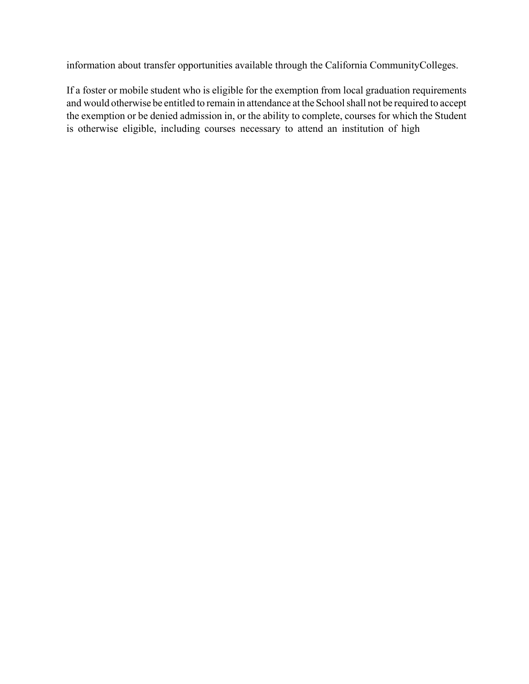information about transfer opportunities available through the California CommunityColleges.

If a foster or mobile student who is eligible for the exemption from local graduation requirements and would otherwise be entitled to remain in attendance at the Schoolshall not be required to accept the exemption or be denied admission in, or the ability to complete, courses for which the Student is otherwise eligible, including courses necessary to attend an institution of high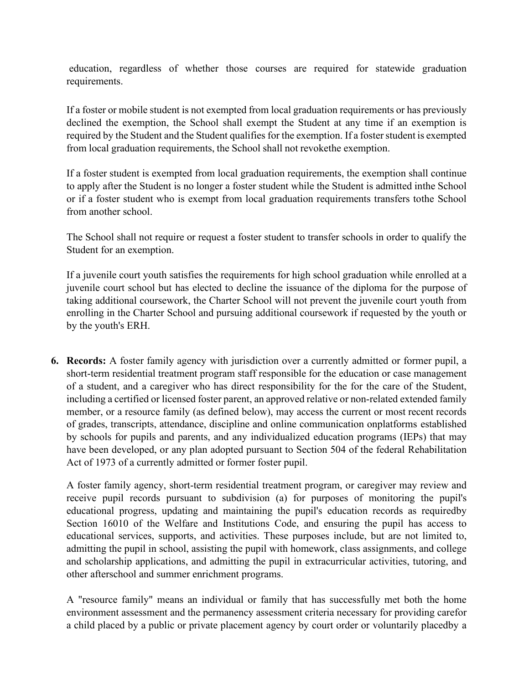education, regardless of whether those courses are required for statewide graduation requirements.

If a foster or mobile student is not exempted from local graduation requirements or has previously declined the exemption, the School shall exempt the Student at any time if an exemption is required by the Student and the Student qualifies for the exemption. If a foster student is exempted from local graduation requirements, the School shall not revokethe exemption.

If a foster student is exempted from local graduation requirements, the exemption shall continue to apply after the Student is no longer a foster student while the Student is admitted inthe School or if a foster student who is exempt from local graduation requirements transfers tothe School from another school.

The School shall not require or request a foster student to transfer schools in order to qualify the Student for an exemption.

If a juvenile court youth satisfies the requirements for high school graduation while enrolled at a juvenile court school but has elected to decline the issuance of the diploma for the purpose of taking additional coursework, the Charter School will not prevent the juvenile court youth from enrolling in the Charter School and pursuing additional coursework if requested by the youth or by the youth's ERH.

**6. Records:** A foster family agency with jurisdiction over a currently admitted or former pupil, a short-term residential treatment program staff responsible for the education or case management of a student, and a caregiver who has direct responsibility for the for the care of the Student, including a certified or licensed foster parent, an approved relative or non-related extended family member, or a resource family (as defined below), may access the current or most recent records of grades, transcripts, attendance, discipline and online communication onplatforms established by schools for pupils and parents, and any individualized education programs (IEPs) that may have been developed, or any plan adopted pursuant to Section 504 of the federal Rehabilitation Act of 1973 of a currently admitted or former foster pupil.

A foster family agency, short-term residential treatment program, or caregiver may review and receive pupil records pursuant to subdivision (a) for purposes of monitoring the pupil's educational progress, updating and maintaining the pupil's education records as requiredby Section 16010 of the Welfare and Institutions Code, and ensuring the pupil has access to educational services, supports, and activities. These purposes include, but are not limited to, admitting the pupil in school, assisting the pupil with homework, class assignments, and college and scholarship applications, and admitting the pupil in extracurricular activities, tutoring, and other afterschool and summer enrichment programs.

A "resource family" means an individual or family that has successfully met both the home environment assessment and the permanency assessment criteria necessary for providing carefor a child placed by a public or private placement agency by court order or voluntarily placedby a